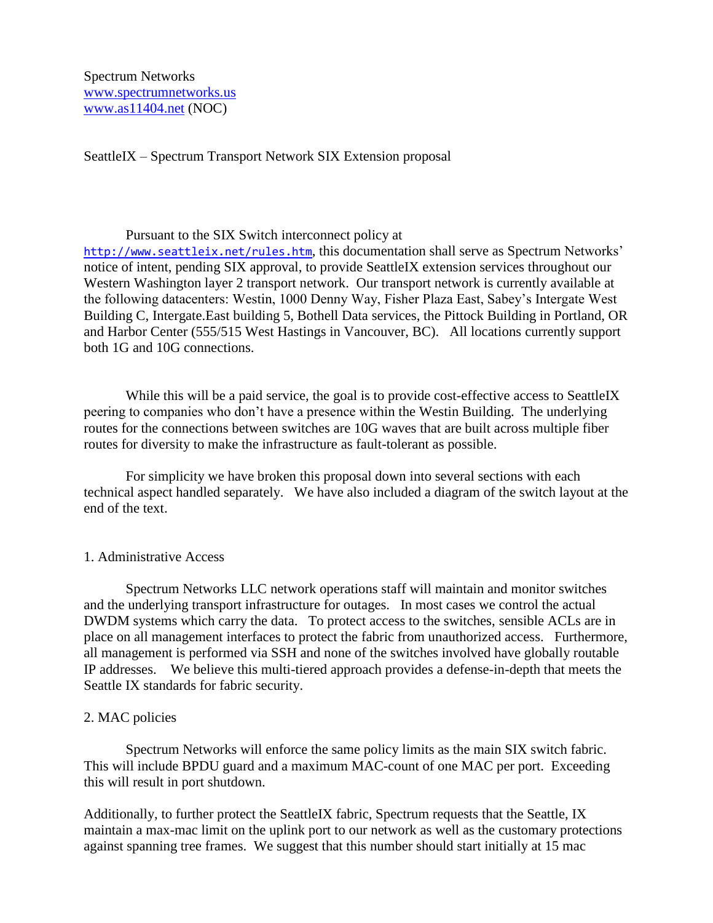Spectrum Networks [www.spectrumnetworks.us](http://www.spectrumnetworks.us/) [www.as11404.net](http://www.as11404.net/) (NOC)

SeattleIX – Spectrum Transport Network SIX Extension proposal

## Pursuant to the SIX Switch interconnect policy at

<http://www.seattleix.net/rules.htm>, this documentation shall serve as Spectrum Networks' notice of intent, pending SIX approval, to provide SeattleIX extension services throughout our Western Washington layer 2 transport network. Our transport network is currently available at the following datacenters: Westin, 1000 Denny Way, Fisher Plaza East, Sabey's Intergate West Building C, Intergate.East building 5, Bothell Data services, the Pittock Building in Portland, OR and Harbor Center (555/515 West Hastings in Vancouver, BC). All locations currently support both 1G and 10G connections.

While this will be a paid service, the goal is to provide cost-effective access to SeattleIX peering to companies who don't have a presence within the Westin Building. The underlying routes for the connections between switches are 10G waves that are built across multiple fiber routes for diversity to make the infrastructure as fault-tolerant as possible.

For simplicity we have broken this proposal down into several sections with each technical aspect handled separately. We have also included a diagram of the switch layout at the end of the text.

## 1. Administrative Access

Spectrum Networks LLC network operations staff will maintain and monitor switches and the underlying transport infrastructure for outages. In most cases we control the actual DWDM systems which carry the data. To protect access to the switches, sensible ACLs are in place on all management interfaces to protect the fabric from unauthorized access. Furthermore, all management is performed via SSH and none of the switches involved have globally routable IP addresses. We believe this multi-tiered approach provides a defense-in-depth that meets the Seattle IX standards for fabric security.

## 2. MAC policies

Spectrum Networks will enforce the same policy limits as the main SIX switch fabric. This will include BPDU guard and a maximum MAC-count of one MAC per port. Exceeding this will result in port shutdown.

Additionally, to further protect the SeattleIX fabric, Spectrum requests that the Seattle, IX maintain a max-mac limit on the uplink port to our network as well as the customary protections against spanning tree frames. We suggest that this number should start initially at 15 mac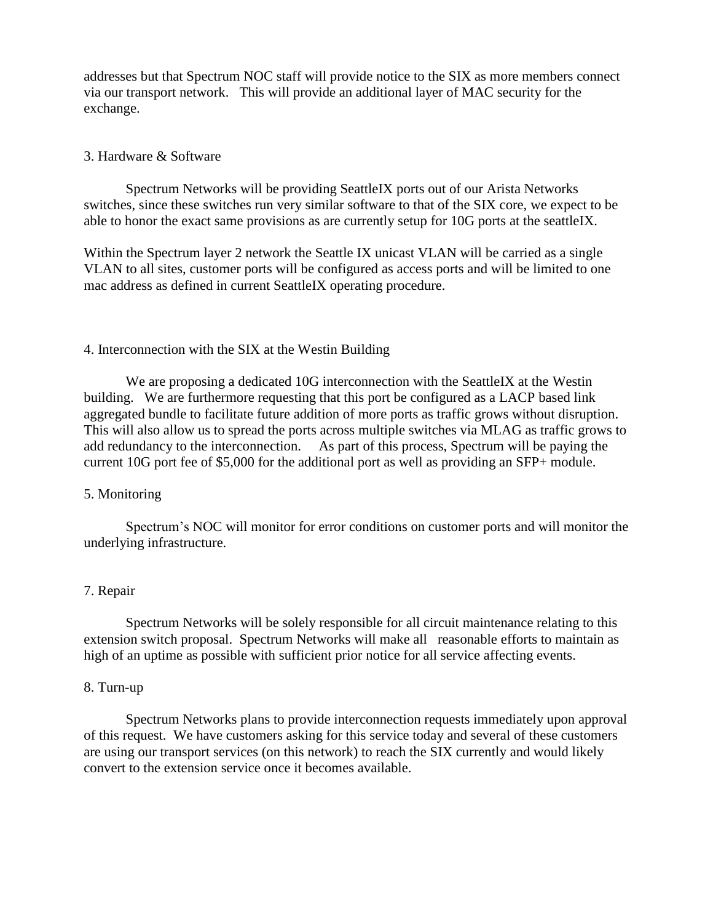addresses but that Spectrum NOC staff will provide notice to the SIX as more members connect via our transport network. This will provide an additional layer of MAC security for the exchange.

# 3. Hardware & Software

Spectrum Networks will be providing SeattleIX ports out of our Arista Networks switches, since these switches run very similar software to that of the SIX core, we expect to be able to honor the exact same provisions as are currently setup for 10G ports at the seattleIX.

Within the Spectrum layer 2 network the Seattle IX unicast VLAN will be carried as a single VLAN to all sites, customer ports will be configured as access ports and will be limited to one mac address as defined in current SeattleIX operating procedure.

# 4. Interconnection with the SIX at the Westin Building

We are proposing a dedicated 10G interconnection with the SeattleIX at the Westin building. We are furthermore requesting that this port be configured as a LACP based link aggregated bundle to facilitate future addition of more ports as traffic grows without disruption. This will also allow us to spread the ports across multiple switches via MLAG as traffic grows to add redundancy to the interconnection. As part of this process, Spectrum will be paying the current 10G port fee of \$5,000 for the additional port as well as providing an SFP+ module.

# 5. Monitoring

Spectrum's NOC will monitor for error conditions on customer ports and will monitor the underlying infrastructure.

# 7. Repair

Spectrum Networks will be solely responsible for all circuit maintenance relating to this extension switch proposal. Spectrum Networks will make all reasonable efforts to maintain as high of an uptime as possible with sufficient prior notice for all service affecting events.

# 8. Turn-up

Spectrum Networks plans to provide interconnection requests immediately upon approval of this request. We have customers asking for this service today and several of these customers are using our transport services (on this network) to reach the SIX currently and would likely convert to the extension service once it becomes available.